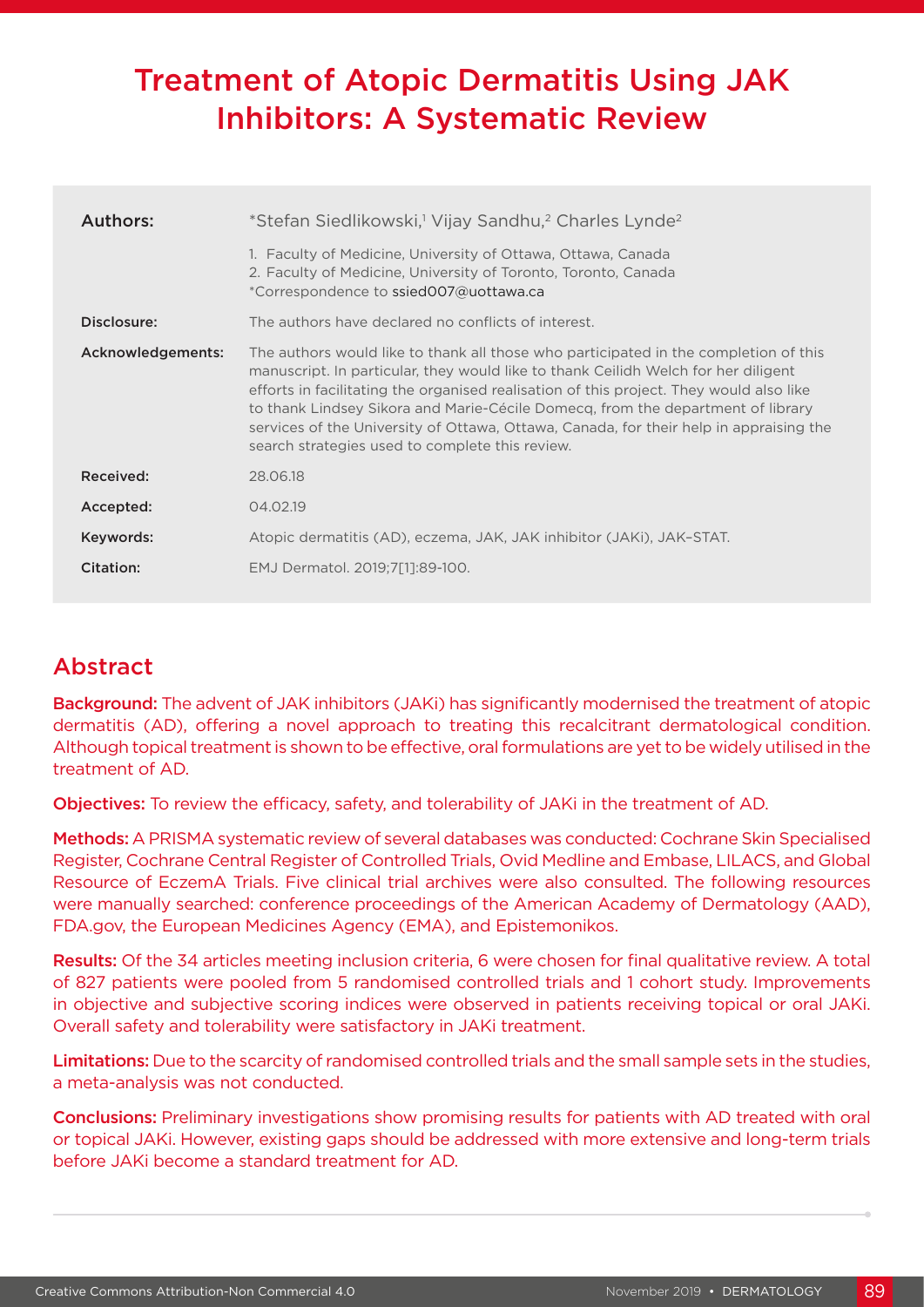# Treatment of Atopic Dermatitis Using JAK Inhibitors: A Systematic Review

| Authors:          | *Stefan Siedlikowski, <sup>1</sup> Vijay Sandhu, <sup>2</sup> Charles Lynde <sup>2</sup>                                                                                                                                                                                                                                                                                                                                                                                                              |  |
|-------------------|-------------------------------------------------------------------------------------------------------------------------------------------------------------------------------------------------------------------------------------------------------------------------------------------------------------------------------------------------------------------------------------------------------------------------------------------------------------------------------------------------------|--|
|                   | 1. Faculty of Medicine, University of Ottawa, Ottawa, Canada<br>2. Faculty of Medicine, University of Toronto, Toronto, Canada<br>*Correspondence to ssied007@uottawa.ca                                                                                                                                                                                                                                                                                                                              |  |
| Disclosure:       | The authors have declared no conflicts of interest.                                                                                                                                                                                                                                                                                                                                                                                                                                                   |  |
| Acknowledgements: | The authors would like to thank all those who participated in the completion of this<br>manuscript. In particular, they would like to thank Ceilidh Welch for her diligent<br>efforts in facilitating the organised realisation of this project. They would also like<br>to thank Lindsey Sikora and Marie-Cécile Domecq, from the department of library<br>services of the University of Ottawa, Ottawa, Canada, for their help in appraising the<br>search strategies used to complete this review. |  |
| Received:         | 28.06.18                                                                                                                                                                                                                                                                                                                                                                                                                                                                                              |  |
| Accepted:         | 04.02.19                                                                                                                                                                                                                                                                                                                                                                                                                                                                                              |  |
| Keywords:         | Atopic dermatitis (AD), eczema, JAK, JAK inhibitor (JAKi), JAK-STAT.                                                                                                                                                                                                                                                                                                                                                                                                                                  |  |
| Citation:         | EMJ Dermatol. 2019;7[1]:89-100.                                                                                                                                                                                                                                                                                                                                                                                                                                                                       |  |

# Abstract

Background: The advent of JAK inhibitors (JAKi) has significantly modernised the treatment of atopic dermatitis (AD), offering a novel approach to treating this recalcitrant dermatological condition. Although topical treatment is shown to be effective, oral formulations are yet to be widely utilised in the treatment of AD.

Objectives: To review the efficacy, safety, and tolerability of JAKi in the treatment of AD.

Methods: A PRISMA systematic review of several databases was conducted: Cochrane Skin Specialised Register, Cochrane Central Register of Controlled Trials, Ovid Medline and Embase, LILACS, and Global Resource of EczemA Trials. Five clinical trial archives were also consulted. The following resources were manually searched: conference proceedings of the American Academy of Dermatology (AAD), FDA.gov, the European Medicines Agency (EMA), and Epistemonikos.

Results: Of the 34 articles meeting inclusion criteria, 6 were chosen for final qualitative review. A total of 827 patients were pooled from 5 randomised controlled trials and 1 cohort study. Improvements in objective and subjective scoring indices were observed in patients receiving topical or oral JAKi. Overall safety and tolerability were satisfactory in JAKi treatment.

Limitations: Due to the scarcity of randomised controlled trials and the small sample sets in the studies, a meta-analysis was not conducted.

Conclusions: Preliminary investigations show promising results for patients with AD treated with oral or topical JAKi. However, existing gaps should be addressed with more extensive and long-term trials before JAKi become a standard treatment for AD.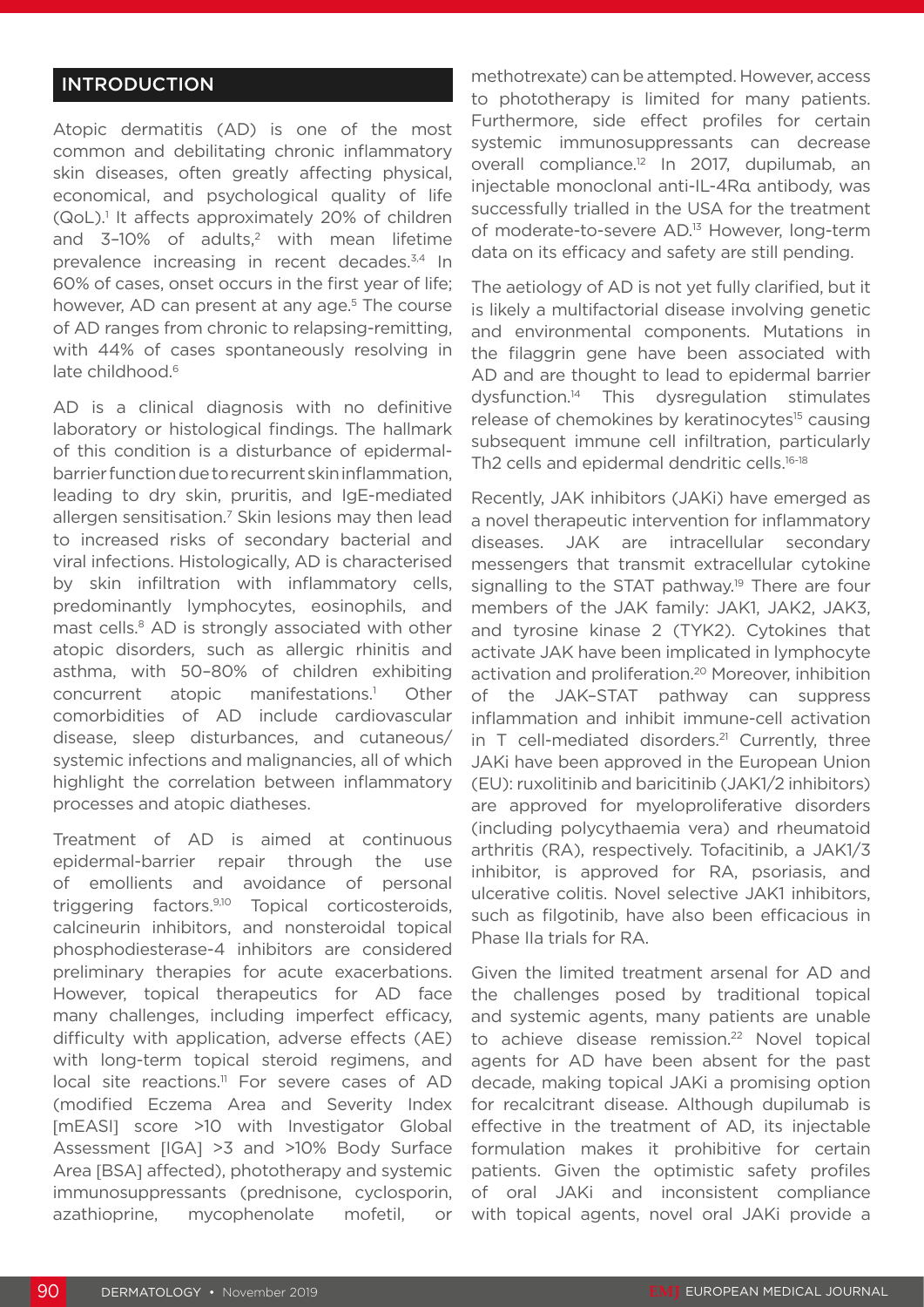# INTRODUCTION

Atopic dermatitis (AD) is one of the most common and debilitating chronic inflammatory skin diseases, often greatly affecting physical, economical, and psychological quality of life (QoL).<sup>1</sup> It affects approximately 20% of children and  $3-10\%$  of adults,<sup>2</sup> with mean lifetime prevalence increasing in recent decades.<sup>3,4</sup> In 60% of cases, onset occurs in the first year of life; however, AD can present at any age.<sup>5</sup> The course of AD ranges from chronic to relapsing-remitting, with 44% of cases spontaneously resolving in late childhood.<sup>6</sup>

AD is a clinical diagnosis with no definitive laboratory or histological findings. The hallmark of this condition is a disturbance of epidermalbarrier function due to recurrent skin inflammation, leading to dry skin, pruritis, and IgE-mediated allergen sensitisation.<sup>7</sup> Skin lesions may then lead to increased risks of secondary bacterial and viral infections. Histologically, AD is characterised by skin infiltration with inflammatory cells, predominantly lymphocytes, eosinophils, and mast cells.<sup>8</sup> AD is strongly associated with other atopic disorders, such as allergic rhinitis and asthma, with 50–80% of children exhibiting concurrent atopic manifestations.1 Other comorbidities of AD include cardiovascular disease, sleep disturbances, and cutaneous/ systemic infections and malignancies, all of which highlight the correlation between inflammatory processes and atopic diatheses.

Treatment of AD is aimed at continuous epidermal-barrier repair through the use of emollients and avoidance of personal triggering factors.9,10 Topical corticosteroids, calcineurin inhibitors, and nonsteroidal topical phosphodiesterase-4 inhibitors are considered preliminary therapies for acute exacerbations. However, topical therapeutics for AD face many challenges, including imperfect efficacy, difficulty with application, adverse effects (AE) with long-term topical steroid regimens, and local site reactions.<sup>11</sup> For severe cases of AD (modified Eczema Area and Severity Index [mEASI] score >10 with Investigator Global Assessment [IGA] >3 and >10% Body Surface Area [BSA] affected), phototherapy and systemic immunosuppressants (prednisone, cyclosporin, azathioprine, mycophenolate mofetil, or

methotrexate) can be attempted. However, access to phototherapy is limited for many patients. Furthermore, side effect profiles for certain systemic immunosuppressants can decrease overall compliance.<sup>12</sup> In 2017, dupilumab, an injectable monoclonal anti-IL-4Rα antibody, was successfully trialled in the USA for the treatment of moderate-to-severe AD.13 However, long-term data on its efficacy and safety are still pending.

The aetiology of AD is not yet fully clarified, but it is likely a multifactorial disease involving genetic and environmental components. Mutations in the filaggrin gene have been associated with AD and are thought to lead to epidermal barrier dysfunction.14 This dysregulation stimulates release of chemokines by keratinocytes<sup>15</sup> causing subsequent immune cell infiltration, particularly Th2 cells and epidermal dendritic cells.<sup>16-18</sup>

Recently, JAK inhibitors (JAKi) have emerged as a novel therapeutic intervention for inflammatory diseases. JAK are intracellular secondary messengers that transmit extracellular cytokine signalling to the STAT pathway.<sup>19</sup> There are four members of the JAK family: JAK1, JAK2, JAK3, and tyrosine kinase 2 (TYK2). Cytokines that activate JAK have been implicated in lymphocyte activation and proliferation.20 Moreover, inhibition of the JAK–STAT pathway can suppress inflammation and inhibit immune-cell activation in  $T$  cell-mediated disorders.<sup>21</sup> Currently, three JAKi have been approved in the European Union (EU): ruxolitinib and baricitinib (JAK1/2 inhibitors) are approved for myeloproliferative disorders (including polycythaemia vera) and rheumatoid arthritis (RA), respectively. Tofacitinib, a JAK1/3 inhibitor, is approved for RA, psoriasis, and ulcerative colitis. Novel selective JAK1 inhibitors, such as filgotinib, have also been efficacious in Phase IIa trials for RA.

Given the limited treatment arsenal for AD and the challenges posed by traditional topical and systemic agents, many patients are unable to achieve disease remission.<sup>22</sup> Novel topical agents for AD have been absent for the past decade, making topical JAKi a promising option for recalcitrant disease. Although dupilumab is effective in the treatment of AD, its injectable formulation makes it prohibitive for certain patients. Given the optimistic safety profiles of oral JAKi and inconsistent compliance with topical agents, novel oral JAKi provide a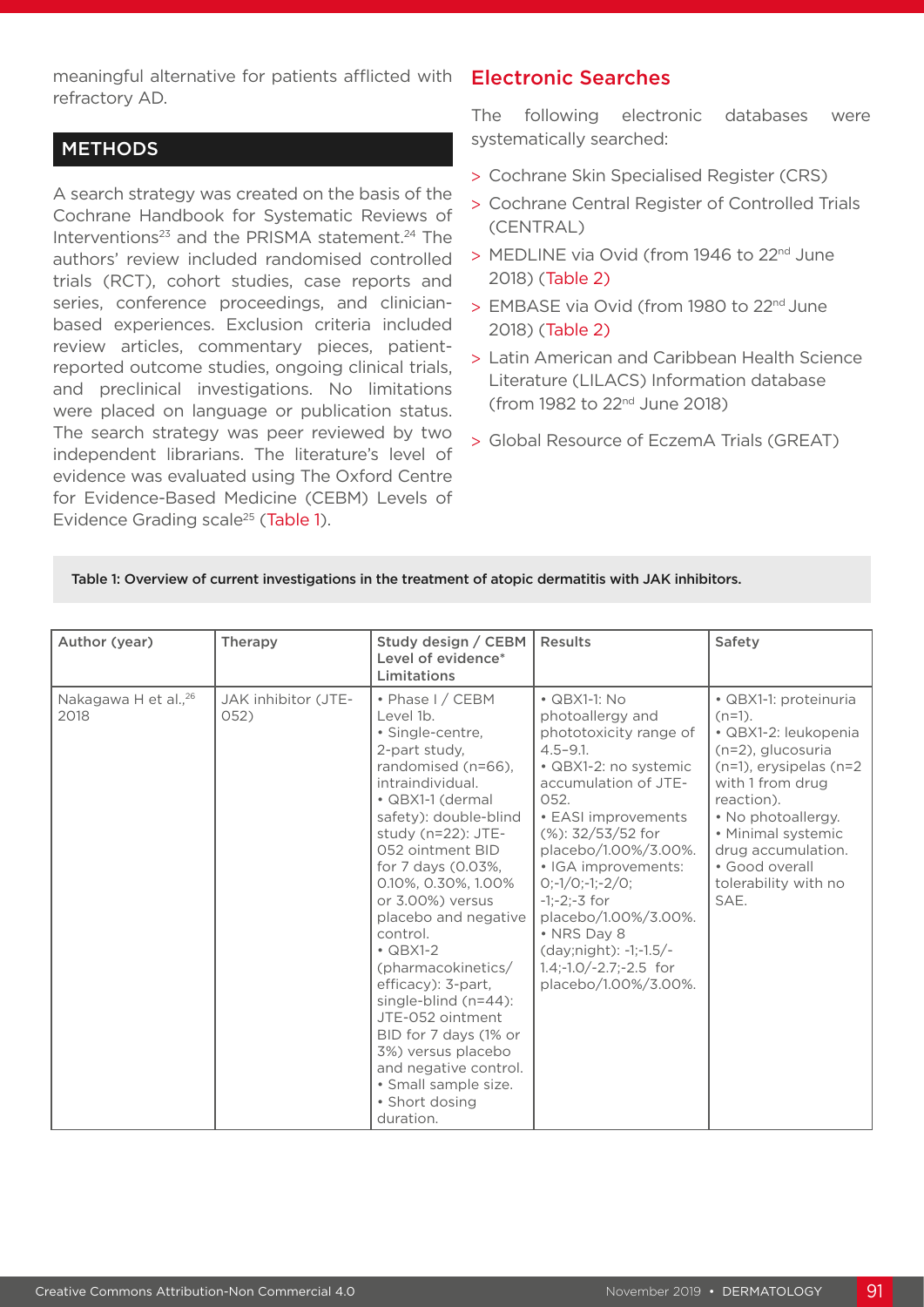meaningful alternative for patients afflicted with **Electronic Searches** refractory AD.

# **METHODS**

A search strategy was created on the basis of the Cochrane Handbook for Systematic Reviews of Interventions $^{23}$  and the PRISMA statement. $^{24}$  The authors' review included randomised controlled trials (RCT), cohort studies, case reports and series, conference proceedings, and clinicianbased experiences. Exclusion criteria included review articles, commentary pieces, patientreported outcome studies, ongoing clinical trials, and preclinical investigations. No limitations were placed on language or publication status. The search strategy was peer reviewed by two independent librarians. The literature's level of evidence was evaluated using The Oxford Centre for Evidence-Based Medicine (CEBM) Levels of Evidence Grading scale<sup>25</sup> (Table 1).

The following electronic databases were systematically searched:

- > Cochrane Skin Specialised Register (CRS)
- > Cochrane Central Register of Controlled Trials (CENTRAL)
- > MEDLINE via Ovid (from 1946 to 22<sup>nd</sup> June 2018) (Table 2)
- > EMBASE via Ovid (from 1980 to 22<sup>nd</sup> June 2018) (Table 2)
- > Latin American and Caribbean Health Science Literature (LILACS) Information database (from 1982 to 22nd June 2018)
- > Global Resource of EczemA Trials (GREAT)

Table 1: Overview of current investigations in the treatment of atopic dermatitis with JAK inhibitors.

| Author (year)                            | Therapy                     | Study design / CEBM<br>Level of evidence*<br>Limitations                                                                                                                                                                                                                                                                                                                                                                                                                                                                                             | <b>Results</b>                                                                                                                                                                                                                                                                                                                                                                                         | Safety                                                                                                                                                                                                                                                                |
|------------------------------------------|-----------------------------|------------------------------------------------------------------------------------------------------------------------------------------------------------------------------------------------------------------------------------------------------------------------------------------------------------------------------------------------------------------------------------------------------------------------------------------------------------------------------------------------------------------------------------------------------|--------------------------------------------------------------------------------------------------------------------------------------------------------------------------------------------------------------------------------------------------------------------------------------------------------------------------------------------------------------------------------------------------------|-----------------------------------------------------------------------------------------------------------------------------------------------------------------------------------------------------------------------------------------------------------------------|
| Nakagawa H et al., <sup>26</sup><br>2018 | JAK inhibitor (JTE-<br>052) | • Phase I / CEBM<br>Level 1b.<br>· Single-centre,<br>2-part study,<br>randomised (n=66),<br>intraindividual.<br>• QBX1-1 (dermal<br>safety): double-blind<br>study (n=22): JTE-<br>052 ointment BID<br>for 7 days (0.03%,<br>0.10%, 0.30%, 1.00%<br>or 3.00%) versus<br>placebo and negative<br>control.<br>$\cdot$ QBX1-2<br>(pharmacokinetics/<br>efficacy): 3-part,<br>single-blind $(n=44)$ :<br>JTE-052 ointment<br>BID for 7 days (1% or<br>3%) versus placebo<br>and negative control.<br>• Small sample size.<br>• Short dosing<br>duration. | $\cdot$ QBX1-1: No<br>photoallergy and<br>phototoxicity range of<br>$4.5 - 9.1$ .<br>• QBX1-2: no systemic<br>accumulation of JTE-<br>052.<br>• EASI improvements<br>$(\%)$ : 32/53/52 for<br>placebo/1.00%/3.00%.<br>· IGA improvements:<br>$Q(-1/Q(-1)-2/Q)$<br>$-1:-2:-3$ for<br>placebo/1.00%/3.00%.<br>• NRS Day 8<br>(day;night): -1;-1.5/-<br>$1.4$ ;-1.0/-2.7;-2.5 for<br>placebo/1.00%/3.00%. | · QBX1-1: proteinuria<br>$(n=1)$ .<br>· QBX1-2: leukopenia<br>(n=2), glucosuria<br>$(n=1)$ , erysipelas $(n=2)$<br>with 1 from drug<br>reaction).<br>• No photoallergy.<br>• Minimal systemic<br>drug accumulation.<br>• Good overall<br>tolerability with no<br>SAE. |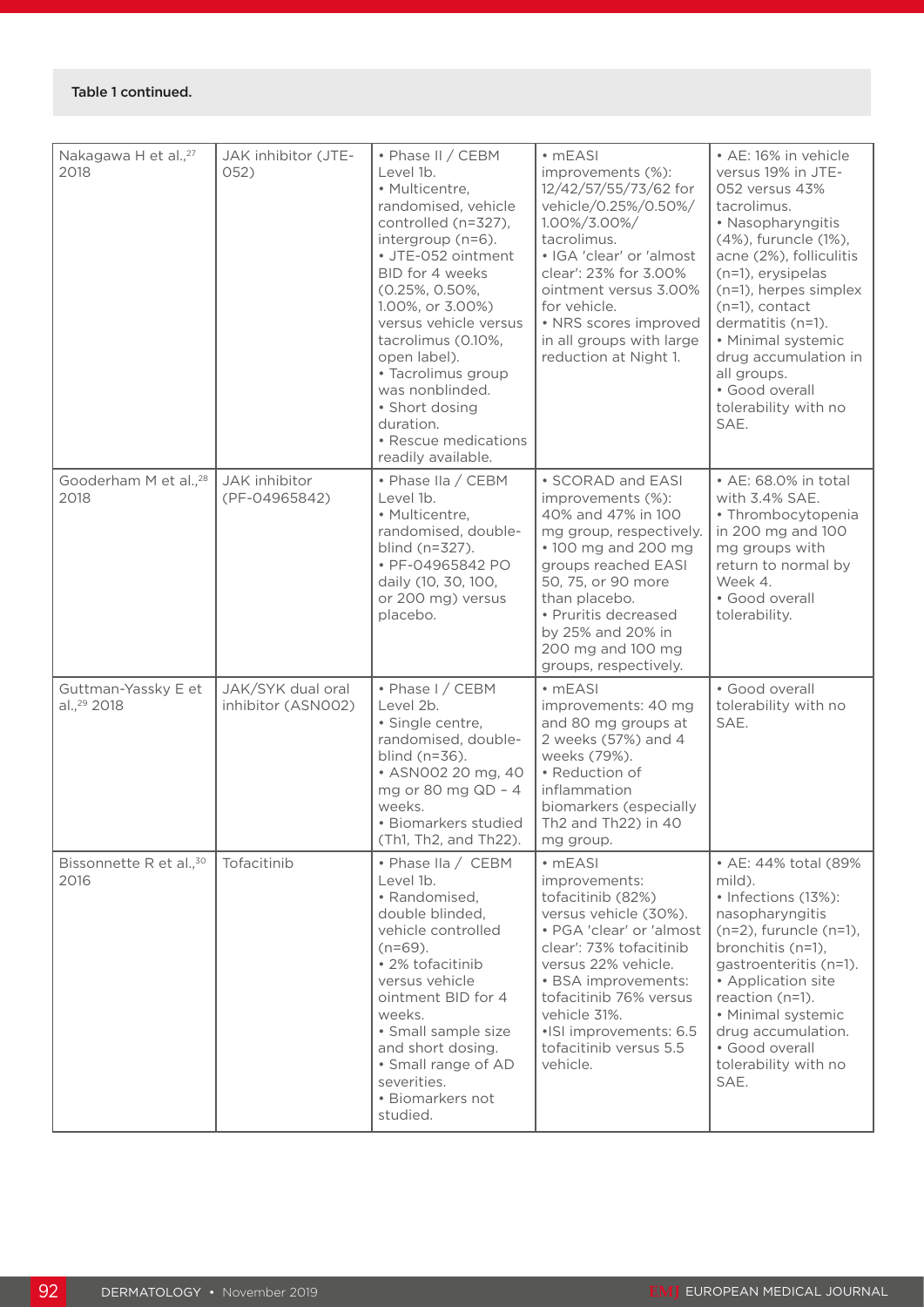### Table 1 continued.

| Nakagawa H et al., <sup>27</sup><br>2018       | JAK inhibitor (JTE-<br>052)             | • Phase II / CEBM<br>Level 1b.<br>• Multicentre,<br>randomised, vehicle<br>controlled (n=327),<br>intergroup (n=6).<br>· JTE-052 ointment<br>BID for 4 weeks<br>(0.25%, 0.50%,<br>1.00%, or 3.00%)<br>versus vehicle versus<br>tacrolimus (0.10%,<br>open label).<br>• Tacrolimus group<br>was nonblinded.<br>· Short dosing<br>duration.<br>• Rescue medications<br>readily available. | $\cdot$ mEASI<br>improvements (%):<br>12/42/57/55/73/62 for<br>vehicle/0.25%/0.50%/<br>1.00%/3.00%/<br>tacrolimus.<br>· IGA 'clear' or 'almost<br>clear': 23% for 3.00%<br>ointment versus 3.00%<br>for vehicle.<br>• NRS scores improved<br>in all groups with large<br>reduction at Night 1. | • AE: 16% in vehicle<br>versus 19% in JTE-<br>052 versus 43%<br>tacrolimus.<br>· Nasopharyngitis<br>(4%), furuncle (1%),<br>acne (2%), folliculitis<br>(n=1), erysipelas<br>(n=1), herpes simplex<br>$(n=1)$ , contact<br>dermatitis (n=1).<br>• Minimal systemic<br>drug accumulation in<br>all groups.<br>· Good overall<br>tolerability with no<br>SAE. |
|------------------------------------------------|-----------------------------------------|-----------------------------------------------------------------------------------------------------------------------------------------------------------------------------------------------------------------------------------------------------------------------------------------------------------------------------------------------------------------------------------------|------------------------------------------------------------------------------------------------------------------------------------------------------------------------------------------------------------------------------------------------------------------------------------------------|------------------------------------------------------------------------------------------------------------------------------------------------------------------------------------------------------------------------------------------------------------------------------------------------------------------------------------------------------------|
| Gooderham M et al., <sup>28</sup><br>2018      | JAK inhibitor<br>(PF-04965842)          | • Phase IIa / CEBM<br>Level 1b.<br>• Multicentre,<br>randomised, double-<br>blind (n=327).<br>• PF-04965842 PO<br>daily (10, 30, 100,<br>or 200 mg) versus<br>placebo.                                                                                                                                                                                                                  | • SCORAD and EASI<br>improvements (%):<br>40% and 47% in 100<br>mg group, respectively.<br>• 100 mg and 200 mg<br>groups reached EASI<br>50, 75, or 90 more<br>than placebo.<br>• Pruritis decreased<br>by 25% and 20% in<br>200 mg and 100 mg<br>groups, respectively.                        | • AE: 68.0% in total<br>with 3.4% SAE.<br>· Thrombocytopenia<br>in 200 mg and 100<br>mg groups with<br>return to normal by<br>Week 4.<br>· Good overall<br>tolerability.                                                                                                                                                                                   |
| Guttman-Yassky E et<br>al., <sup>29</sup> 2018 | JAK/SYK dual oral<br>inhibitor (ASN002) | • Phase I / CEBM<br>Level 2b.<br>· Single centre,<br>randomised, double-<br>blind $(n=36)$ .<br>• ASN002 20 mg, 40<br>mg or 80 mg QD - 4<br>weeks.<br>• Biomarkers studied<br>(Th1, Th2, and Th22).                                                                                                                                                                                     | $\cdot$ mEASI<br>improvements: 40 mg<br>and 80 mg groups at<br>2 weeks (57%) and 4<br>weeks (79%).<br>• Reduction of<br>inflammation<br>biomarkers (especially<br>Th2 and Th22) in 40<br>mg group.                                                                                             | · Good overall<br>tolerability with no<br>SAE.                                                                                                                                                                                                                                                                                                             |
| Bissonnette R et al., <sup>30</sup><br>2016    | Tofacitinib                             | • Phase IIa / CEBM<br>Level 1b.<br>• Randomised,<br>double blinded,<br>vehicle controlled<br>$(n=69)$ .<br>• 2% tofacitinib<br>versus vehicle<br>ointment BID for 4<br>weeks.<br>· Small sample size<br>and short dosing.<br>• Small range of AD<br>severities.<br>• Biomarkers not<br>studied.                                                                                         | $\cdot$ mEASI<br>improvements:<br>tofacitinib (82%)<br>versus vehicle (30%).<br>• PGA 'clear' or 'almost<br>clear': 73% tofacitinib<br>versus 22% vehicle.<br>• BSA improvements:<br>tofacitinib 76% versus<br>vehicle 31%.<br>•ISI improvements: 6.5<br>tofacitinib versus 5.5<br>vehicle.    | • AE: 44% total (89%<br>mild).<br>• Infections (13%):<br>nasopharyngitis<br>$(n=2)$ , furuncle $(n=1)$ ,<br>bronchitis (n=1),<br>gastroenteritis (n=1).<br>• Application site<br>reaction (n=1).<br>· Minimal systemic<br>drug accumulation.<br>· Good overall<br>tolerability with no<br>SAE.                                                             |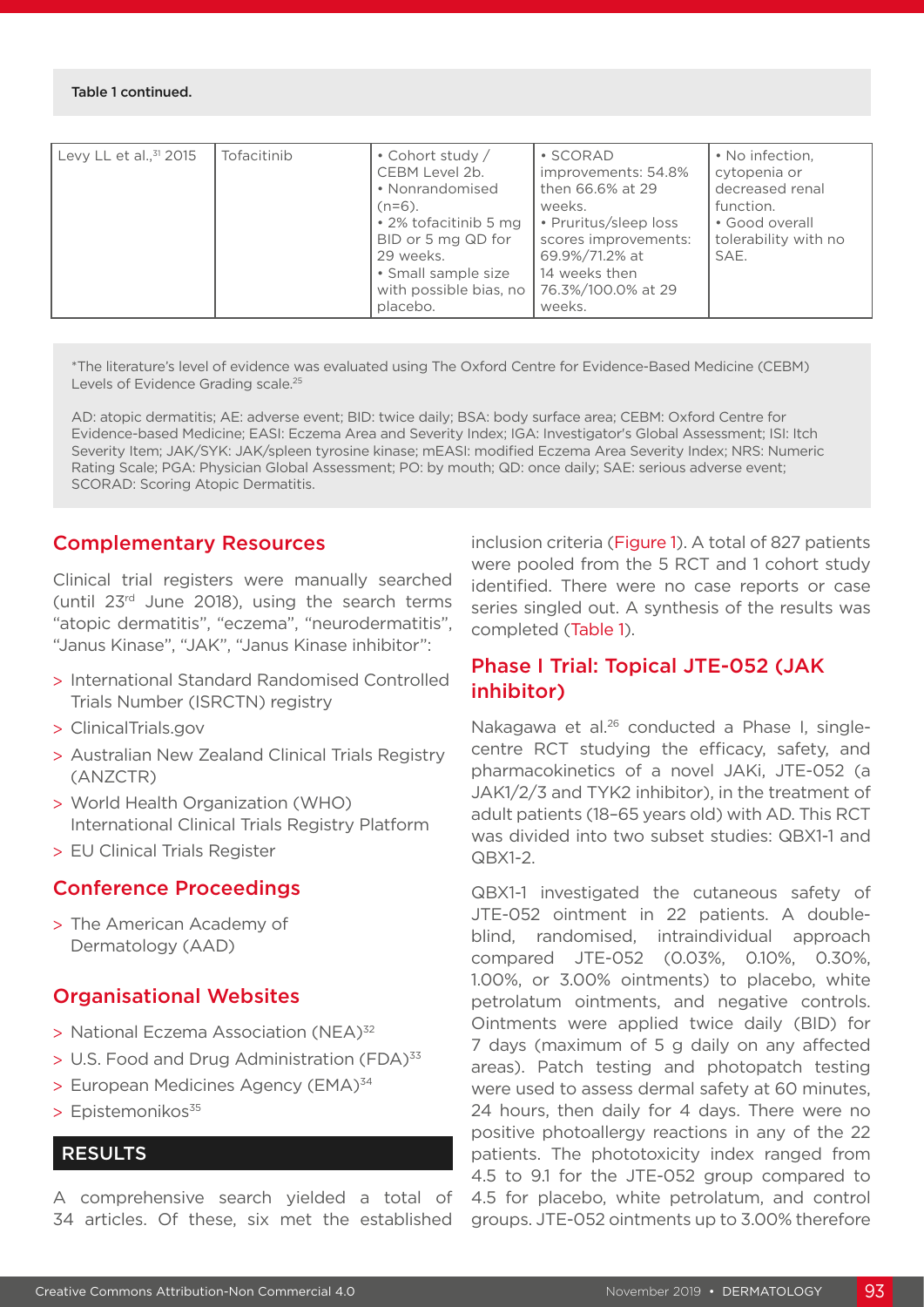#### Table 1 continued.

| Tofacitinib<br>Levy LL et al., $31$ 2015 | • Cohort study /<br>CEBM Level 2b.<br>• Nonrandomised<br>$(n=6)$ .<br>• 2% tofacitinib 5 mg<br>BID or 5 mg QD for<br>29 weeks.<br>• Small sample size<br>with possible bias, no<br>placebo. | • SCORAD<br>improvements: 54.8%<br>then 66.6% at 29<br>weeks.<br>• Pruritus/sleep loss<br>scores improvements:<br>69.9%/71.2% at<br>14 weeks then<br>76.3%/100.0% at 29<br>weeks. | • No infection,<br>cytopenia or<br>decreased renal<br>function.<br>• Good overall<br>tolerability with no<br>SAE. |
|------------------------------------------|---------------------------------------------------------------------------------------------------------------------------------------------------------------------------------------------|-----------------------------------------------------------------------------------------------------------------------------------------------------------------------------------|-------------------------------------------------------------------------------------------------------------------|
|------------------------------------------|---------------------------------------------------------------------------------------------------------------------------------------------------------------------------------------------|-----------------------------------------------------------------------------------------------------------------------------------------------------------------------------------|-------------------------------------------------------------------------------------------------------------------|

\*The literature's level of evidence was evaluated using The Oxford Centre for Evidence-Based Medicine (CEBM) Levels of Evidence Grading scale.<sup>25</sup>

AD: atopic dermatitis; AE: adverse event; BID: twice daily; BSA: body surface area; CEBM: Oxford Centre for Evidence-based Medicine; EASI: Eczema Area and Severity Index; IGA: Investigator's Global Assessment; ISI: Itch Severity Item; JAK/SYK: JAK/spleen tyrosine kinase; mEASI: modified Eczema Area Severity Index; NRS: Numeric Rating Scale; PGA: Physician Global Assessment; PO: by mouth; QD: once daily; SAE: serious adverse event; SCORAD: Scoring Atopic Dermatitis.

# Complementary Resources

Clinical trial registers were manually searched (until 23rd June 2018), using the search terms "atopic dermatitis", "eczema", "neurodermatitis", "Janus Kinase", "JAK", "Janus Kinase inhibitor":

- > International Standard Randomised Controlled Trials Number (ISRCTN) registry
- > ClinicalTrials.gov
- > Australian New Zealand Clinical Trials Registry (ANZCTR)
- > World Health Organization (WHO) International Clinical Trials Registry Platform
- > EU Clinical Trials Register

# Conference Proceedings

> The American Academy of Dermatology (AAD)

# Organisational Websites

- > National Eczema Association (NEA)32
- > U.S. Food and Drug Administration (FDA)<sup>33</sup>
- > European Medicines Agency (EMA)<sup>34</sup>
- $>$  Epistemonikos $35$

# **RESULTS**

A comprehensive search yielded a total of 34 articles. Of these, six met the established inclusion criteria (Figure 1). A total of 827 patients were pooled from the 5 RCT and 1 cohort study identified. There were no case reports or case series singled out. A synthesis of the results was completed (Table 1).

# Phase I Trial: Topical JTE-052 (JAK inhibitor)

Nakagawa et al.<sup>26</sup> conducted a Phase I, singlecentre RCT studying the efficacy, safety, and pharmacokinetics of a novel JAKi, JTE-052 (a JAK1/2/3 and TYK2 inhibitor), in the treatment of adult patients (18–65 years old) with AD. This RCT was divided into two subset studies: QBX1-1 and QBX1-2.

QBX1-1 investigated the cutaneous safety of JTE-052 ointment in 22 patients. A doubleblind, randomised, intraindividual approach compared JTE-052 (0.03%, 0.10%, 0.30%, 1.00%, or 3.00% ointments) to placebo, white petrolatum ointments, and negative controls. Ointments were applied twice daily (BID) for 7 days (maximum of 5 g daily on any affected areas). Patch testing and photopatch testing were used to assess dermal safety at 60 minutes, 24 hours, then daily for 4 days. There were no positive photoallergy reactions in any of the 22 patients. The phototoxicity index ranged from 4.5 to 9.1 for the JTE-052 group compared to 4.5 for placebo, white petrolatum, and control groups. JTE-052 ointments up to 3.00% therefore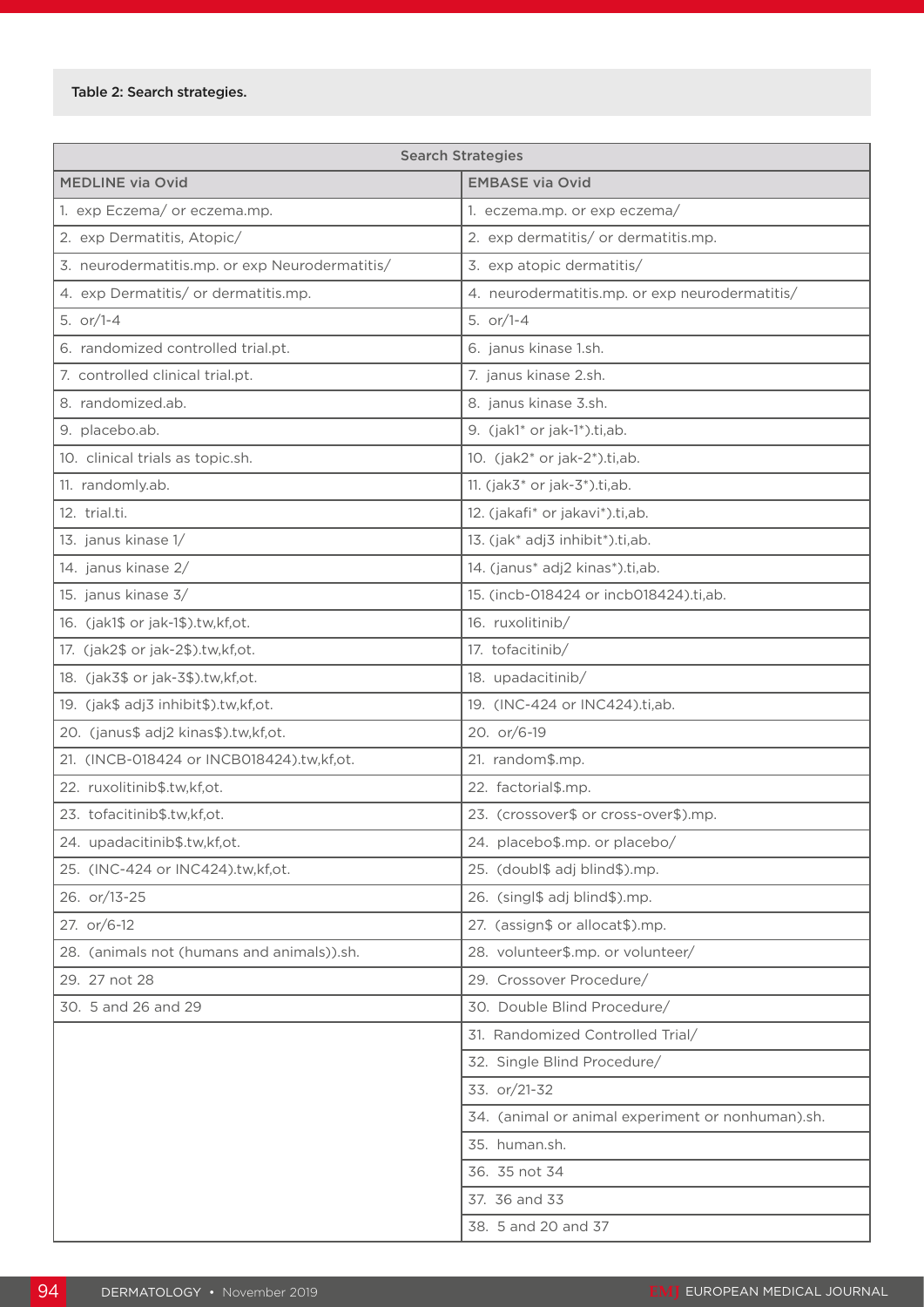#### Table 2: Search strategies.

| <b>Search Strategies</b>                       |                                                   |  |  |
|------------------------------------------------|---------------------------------------------------|--|--|
| <b>MEDLINE via Ovid</b>                        | <b>EMBASE via Ovid</b>                            |  |  |
| 1. exp Eczema/ or eczema.mp.                   | 1. eczema.mp. or exp eczema/                      |  |  |
| 2. exp Dermatitis, Atopic/                     | 2. exp dermatitis/ or dermatitis.mp.              |  |  |
| 3. neurodermatitis.mp. or exp Neurodermatitis/ | 3. exp atopic dermatitis/                         |  |  |
| 4. exp Dermatitis/ or dermatitis.mp.           | 4. neurodermatitis.mp. or exp neurodermatitis/    |  |  |
| 5. $or/1-4$                                    | 5. $or/1-4$                                       |  |  |
| 6. randomized controlled trial.pt.             | 6. janus kinase 1.sh.                             |  |  |
| 7. controlled clinical trial.pt.               | 7. janus kinase 2.sh.                             |  |  |
| 8. randomized.ab.                              | 8. janus kinase 3.sh.                             |  |  |
| 9. placebo.ab.                                 | 9. (jak1* or jak-1*).ti,ab.                       |  |  |
| 10. clinical trials as topic.sh.               | 10. (jak2* or jak-2*).ti,ab.                      |  |  |
| 11. randomly.ab.                               | 11. $(jak3* or jak-3*).ti,ab.$                    |  |  |
| 12. trial.ti.                                  | 12. (jakafi* or jakavi*).ti,ab.                   |  |  |
| 13. janus kinase 1/                            | 13. (jak* adj3 inhibit*).ti,ab.                   |  |  |
| 14. janus kinase 2/                            | 14. (janus* adj2 kinas*).ti,ab.                   |  |  |
| 15. janus kinase 3/                            | 15. (incb-018424 or incb018424).ti,ab.            |  |  |
| 16. (jak1\$ or jak-1\$).tw,kf,ot.              | 16. ruxolitinib/                                  |  |  |
| 17. (jak2\$ or jak-2\$).tw,kf,ot.              | 17. tofacitinib/                                  |  |  |
| 18. (jak3\$ or jak-3\$).tw,kf,ot.              | 18. upadacitinib/                                 |  |  |
| 19. (jak\$ adj3 inhibit\$).tw,kf,ot.           | 19. (INC-424 or INC424).ti,ab.                    |  |  |
| 20. (janus\$ adj2 kinas\$).tw,kf,ot.           | 20. or/6-19                                       |  |  |
| 21. (INCB-018424 or INCB018424).tw,kf,ot.      | 21. random\$.mp.                                  |  |  |
| 22. ruxolitinib \$.tw, kf, ot.                 | 22. factorial\$.mp.                               |  |  |
| 23. tofacitinib \$.tw, kf, ot.                 | 23. (crossover\$ or cross-over\$).mp.             |  |  |
| 24. upadacitinib \$.tw, kf, ot.                | 24. placebo\$.mp. or placebo/                     |  |  |
| 25. (INC-424 or INC424).tw,kf,ot.              | 25. (doubl\$ adj blind\$).mp.                     |  |  |
| 26. or/13-25                                   | 26. (singl\$ adj blind\$).mp.                     |  |  |
| 27. or/6-12                                    | 27. (assign\$ or allocat\$).mp.                   |  |  |
| 28. (animals not (humans and animals)).sh.     | 28. volunteer\$.mp. or volunteer/                 |  |  |
| 29. 27 not 28                                  | 29. Crossover Procedure/                          |  |  |
| 30. 5 and 26 and 29                            | 30. Double Blind Procedure/                       |  |  |
|                                                | 31. Randomized Controlled Trial/                  |  |  |
|                                                | 32. Single Blind Procedure/                       |  |  |
|                                                | 33. or/21-32                                      |  |  |
|                                                | 34. (animal or animal experiment or nonhuman).sh. |  |  |
|                                                | 35. human.sh.                                     |  |  |
|                                                | 36. 35 not 34                                     |  |  |
|                                                | 37. 36 and 33                                     |  |  |
|                                                | 38. 5 and 20 and 37                               |  |  |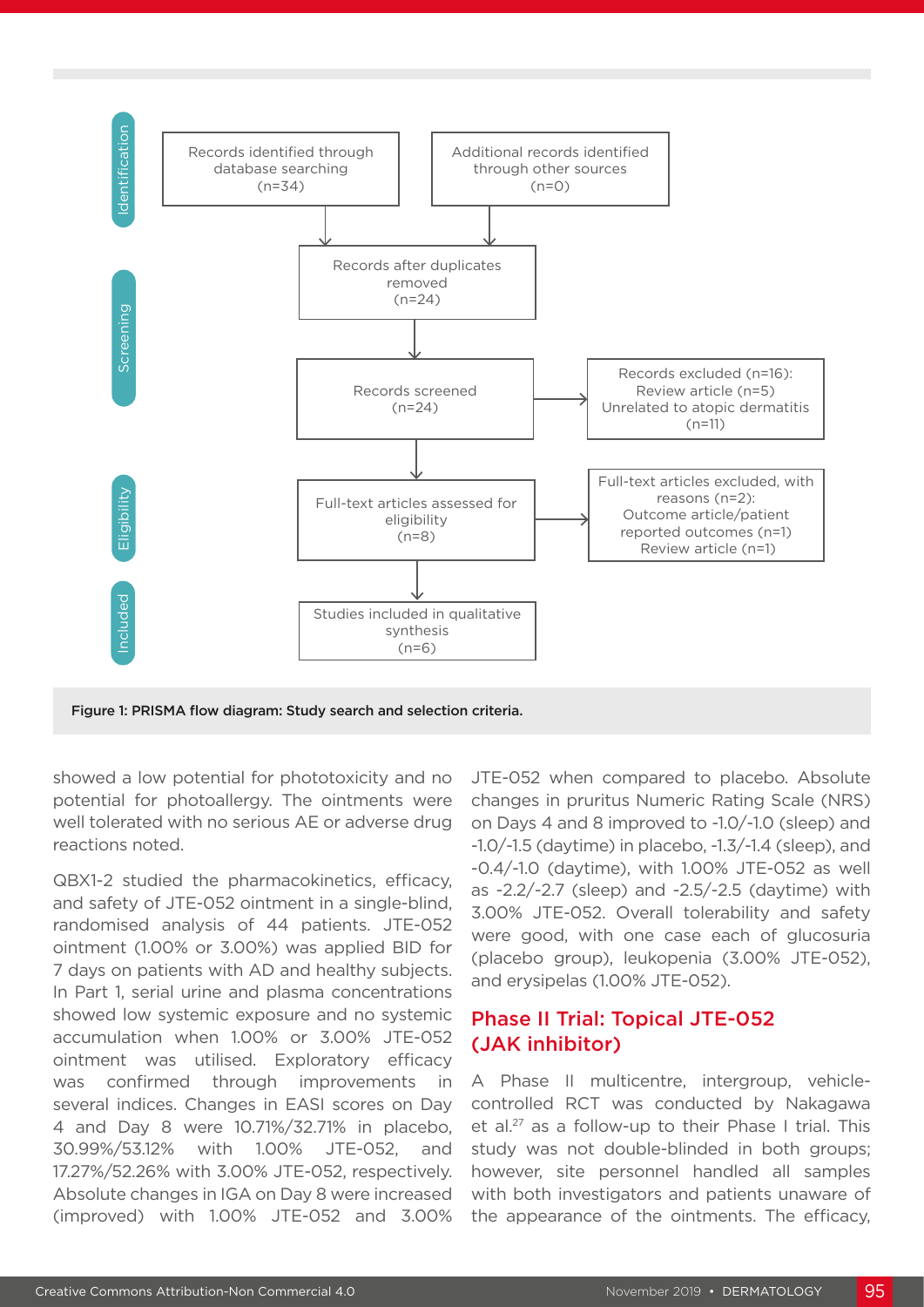

Figure 1: PRISMA flow diagram: Study search and selection criteria.

showed a low potential for phototoxicity and no potential for photoallergy. The ointments were well tolerated with no serious AE or adverse drug reactions noted.

QBX1-2 studied the pharmacokinetics, efficacy, and safety of JTE-052 ointment in a single-blind, randomised analysis of 44 patients. JTE-052 ointment (1.00% or 3.00%) was applied BID for 7 days on patients with AD and healthy subjects. In Part 1, serial urine and plasma concentrations showed low systemic exposure and no systemic accumulation when 1.00% or 3.00% JTE-052 ointment was utilised. Exploratory efficacy was confirmed through improvements in several indices. Changes in EASI scores on Day 4 and Day 8 were 10.71%/32.71% in placebo, 30.99%/53.12% with 1.00% JTE-052, and 17.27%/52.26% with 3.00% JTE-052, respectively. Absolute changes in IGA on Day 8 were increased (improved) with 1.00% JTE-052 and 3.00%

JTE-052 when compared to placebo. Absolute changes in pruritus Numeric Rating Scale (NRS) on Days 4 and 8 improved to -1.0/-1.0 (sleep) and -1.0/-1.5 (daytime) in placebo, -1.3/-1.4 (sleep), and -0.4/-1.0 (daytime), with 1.00% JTE-052 as well as -2.2/-2.7 (sleep) and -2.5/-2.5 (daytime) with 3.00% JTE-052. Overall tolerability and safety were good, with one case each of glucosuria (placebo group), leukopenia (3.00% JTE-052), and erysipelas (1.00% JTE-052).

# Phase II Trial: Topical JTE-052 (JAK inhibitor)

A Phase II multicentre, intergroup, vehiclecontrolled RCT was conducted by Nakagawa et al.27 as a follow-up to their Phase I trial. This study was not double-blinded in both groups; however, site personnel handled all samples with both investigators and patients unaware of the appearance of the ointments. The efficacy,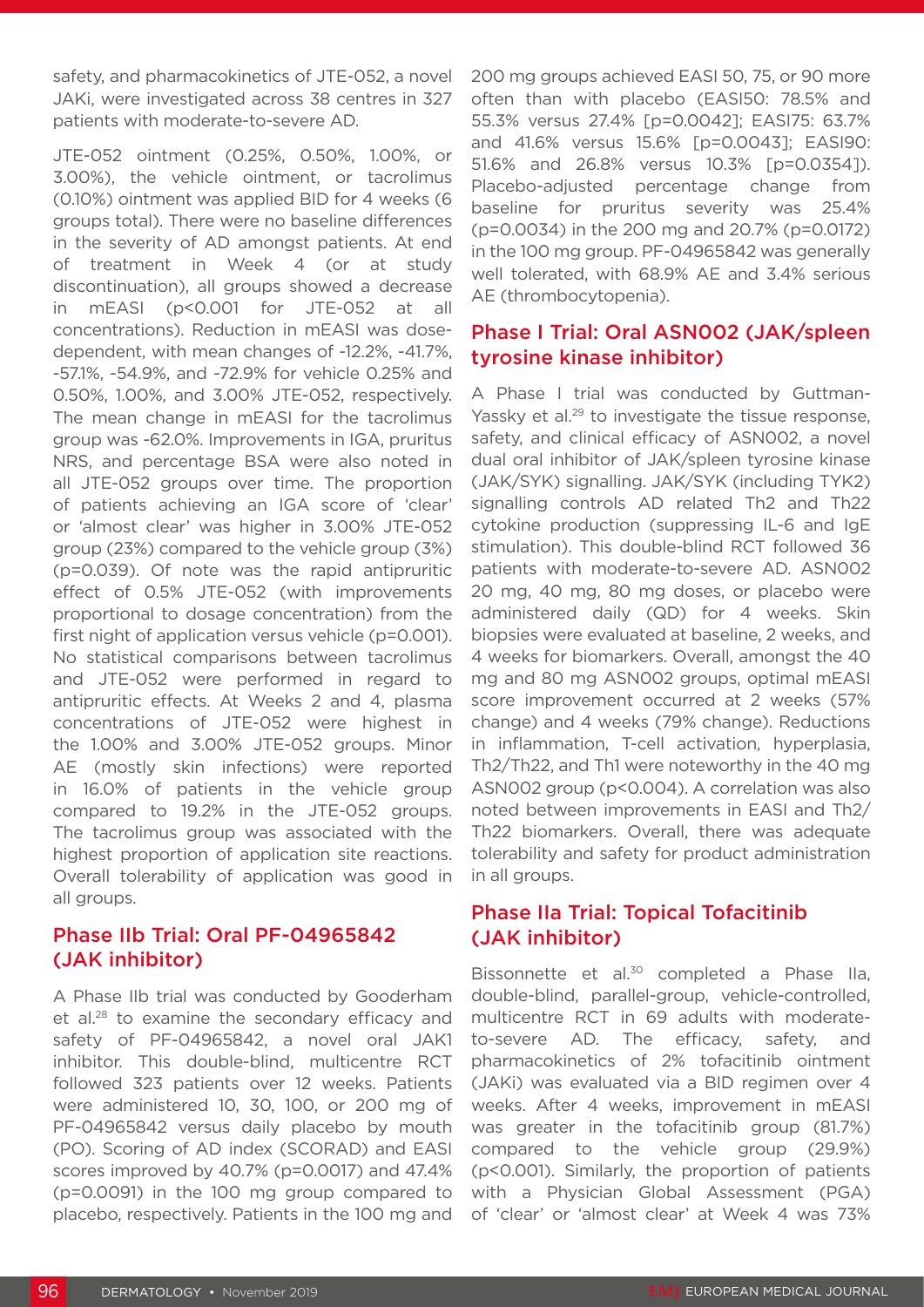safety, and pharmacokinetics of JTE-052, a novel JAKi, were investigated across 38 centres in 327 patients with moderate-to-severe AD.

JTE-052 ointment (0.25%, 0.50%, 1.00%, or 3.00%), the vehicle ointment, or tacrolimus (0.10%) ointment was applied BID for 4 weeks (6 groups total). There were no baseline differences in the severity of AD amongst patients. At end of treatment in Week 4 (or at study discontinuation), all groups showed a decrease in mEASI (p<0.001 for JTE-052 at all concentrations). Reduction in mEASI was dosedependent, with mean changes of -12.2%, -41.7%, -57.1%, -54.9%, and -72.9% for vehicle 0.25% and 0.50%, 1.00%, and 3.00% JTE-052, respectively. The mean change in mEASI for the tacrolimus group was -62.0%. Improvements in IGA, pruritus NRS, and percentage BSA were also noted in all JTE-052 groups over time. The proportion of patients achieving an IGA score of 'clear' or 'almost clear' was higher in 3.00% JTE-052 group (23%) compared to the vehicle group (3%) (p=0.039). Of note was the rapid antipruritic effect of 0.5% JTE-052 (with improvements proportional to dosage concentration) from the first night of application versus vehicle (p=0.001). No statistical comparisons between tacrolimus and JTE-052 were performed in regard to antipruritic effects. At Weeks 2 and 4, plasma concentrations of JTE-052 were highest in the 1.00% and 3.00% JTE-052 groups. Minor AE (mostly skin infections) were reported in 16.0% of patients in the vehicle group compared to 19.2% in the JTE-052 groups. The tacrolimus group was associated with the highest proportion of application site reactions. Overall tolerability of application was good in all groups.

# Phase IIb Trial: Oral PF-04965842 (JAK inhibitor)

A Phase IIb trial was conducted by Gooderham et al.28 to examine the secondary efficacy and safety of PF-04965842, a novel oral JAK1 inhibitor. This double-blind, multicentre RCT followed 323 patients over 12 weeks. Patients were administered 10, 30, 100, or 200 mg of PF-04965842 versus daily placebo by mouth (PO). Scoring of AD index (SCORAD) and EASI scores improved by 40.7% (p=0.0017) and 47.4% (p=0.0091) in the 100 mg group compared to placebo, respectively. Patients in the 100 mg and

200 mg groups achieved EASI 50, 75, or 90 more often than with placebo (EASI50: 78.5% and 55.3% versus 27.4% [p=0.0042]; EASI75: 63.7% and 41.6% versus 15.6% [p=0.0043]; EASI90: 51.6% and 26.8% versus 10.3% [p=0.0354]). Placebo-adjusted percentage change from baseline for pruritus severity was 25.4% (p=0.0034) in the 200 mg and 20.7% (p=0.0172) in the 100 mg group. PF-04965842 was generally well tolerated, with 68.9% AE and 3.4% serious AE (thrombocytopenia).

# Phase I Trial: Oral ASN002 (JAK/spleen tyrosine kinase inhibitor)

A Phase I trial was conducted by Guttman-Yassky et al.<sup>29</sup> to investigate the tissue response, safety, and clinical efficacy of ASN002, a novel dual oral inhibitor of JAK/spleen tyrosine kinase (JAK/SYK) signalling. JAK/SYK (including TYK2) signalling controls AD related Th2 and Th22 cytokine production (suppressing IL-6 and IgE stimulation). This double-blind RCT followed 36 patients with moderate-to-severe AD. ASN002 20 mg, 40 mg, 80 mg doses, or placebo were administered daily (QD) for 4 weeks. Skin biopsies were evaluated at baseline, 2 weeks, and 4 weeks for biomarkers. Overall, amongst the 40 mg and 80 mg ASN002 groups, optimal mEASI score improvement occurred at 2 weeks (57% change) and 4 weeks (79% change). Reductions in inflammation, T-cell activation, hyperplasia, Th2/Th22, and Th1 were noteworthy in the 40 mg ASN002 group (p<0.004). A correlation was also noted between improvements in EASI and Th2/ Th22 biomarkers. Overall, there was adequate tolerability and safety for product administration in all groups.

# Phase IIa Trial: Topical Tofacitinib (JAK inhibitor)

Bissonnette et al.<sup>30</sup> completed a Phase IIa, double-blind, parallel-group, vehicle-controlled, multicentre RCT in 69 adults with moderateto-severe AD. The efficacy, safety, and pharmacokinetics of 2% tofacitinib ointment (JAKi) was evaluated via a BID regimen over 4 weeks. After 4 weeks, improvement in mEASI was greater in the tofacitinib group (81.7%) compared to the vehicle group (29.9%) (p<0.001). Similarly, the proportion of patients with a Physician Global Assessment (PGA) of 'clear' or 'almost clear' at Week 4 was 73%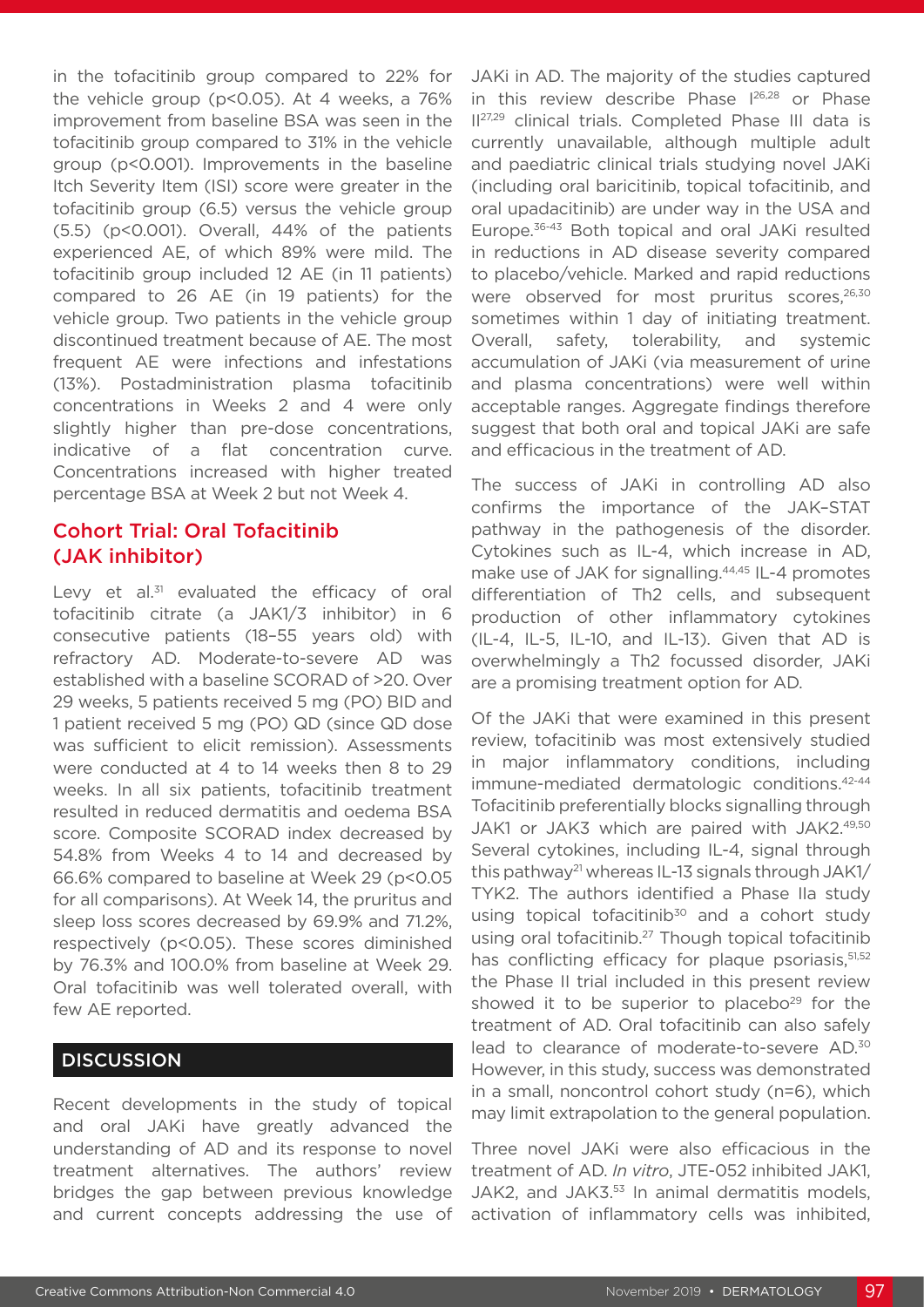in the tofacitinib group compared to 22% for the vehicle group (p<0.05). At 4 weeks, a 76% improvement from baseline BSA was seen in the tofacitinib group compared to 31% in the vehicle group (p<0.001). Improvements in the baseline Itch Severity Item (ISI) score were greater in the tofacitinib group (6.5) versus the vehicle group (5.5) (p<0.001). Overall, 44% of the patients experienced AE, of which 89% were mild. The tofacitinib group included 12 AE (in 11 patients) compared to 26 AE (in 19 patients) for the vehicle group. Two patients in the vehicle group discontinued treatment because of AE. The most frequent AE were infections and infestations (13%). Postadministration plasma tofacitinib concentrations in Weeks 2 and 4 were only slightly higher than pre-dose concentrations, indicative of a flat concentration curve. Concentrations increased with higher treated percentage BSA at Week 2 but not Week 4.

# Cohort Trial: Oral Tofacitinib (JAK inhibitor)

Levy et al. $31$  evaluated the efficacy of oral tofacitinib citrate (a JAK1/3 inhibitor) in 6 consecutive patients (18–55 years old) with refractory AD. Moderate-to-severe AD was established with a baseline SCORAD of >20. Over 29 weeks, 5 patients received 5 mg (PO) BID and 1 patient received 5 mg (PO) QD (since QD dose was sufficient to elicit remission). Assessments were conducted at 4 to 14 weeks then 8 to 29 weeks. In all six patients, tofacitinib treatment resulted in reduced dermatitis and oedema BSA score. Composite SCORAD index decreased by 54.8% from Weeks 4 to 14 and decreased by 66.6% compared to baseline at Week 29 (p<0.05 for all comparisons). At Week 14, the pruritus and sleep loss scores decreased by 69.9% and 71.2%, respectively (p<0.05). These scores diminished by 76.3% and 100.0% from baseline at Week 29. Oral tofacitinib was well tolerated overall, with few AE reported.

# **DISCUSSION**

Recent developments in the study of topical and oral JAKi have greatly advanced the understanding of AD and its response to novel treatment alternatives. The authors' review bridges the gap between previous knowledge and current concepts addressing the use of

JAKi in AD. The majority of the studies captured in this review describe Phase 126,28 or Phase II27,29 clinical trials. Completed Phase III data is currently unavailable, although multiple adult and paediatric clinical trials studying novel JAKi (including oral baricitinib, topical tofacitinib, and oral upadacitinib) are under way in the USA and Europe.36-43 Both topical and oral JAKi resulted in reductions in AD disease severity compared to placebo/vehicle. Marked and rapid reductions were observed for most pruritus scores,<sup>26,30</sup> sometimes within 1 day of initiating treatment. Overall, safety, tolerability, and systemic accumulation of JAKi (via measurement of urine and plasma concentrations) were well within acceptable ranges. Aggregate findings therefore suggest that both oral and topical JAKi are safe and efficacious in the treatment of AD.

The success of JAKi in controlling AD also confirms the importance of the JAK–STAT pathway in the pathogenesis of the disorder. Cytokines such as IL-4, which increase in AD, make use of JAK for signalling.<sup>44,45</sup> IL-4 promotes differentiation of Th2 cells, and subsequent production of other inflammatory cytokines (IL-4, IL-5, IL-10, and IL-13). Given that AD is overwhelmingly a Th2 focussed disorder, JAKi are a promising treatment option for AD.

Of the JAKi that were examined in this present review, tofacitinib was most extensively studied in major inflammatory conditions, including immune-mediated dermatologic conditions.42-44 Tofacitinib preferentially blocks signalling through JAK1 or JAK3 which are paired with JAK2.49,50 Several cytokines, including IL-4, signal through this pathway21 whereas IL-13 signals through JAK1/ TYK2. The authors identified a Phase IIa study using topical tofacitinib<sup>30</sup> and a cohort study using oral tofacitinib.<sup>27</sup> Though topical tofacitinib has conflicting efficacy for plaque psoriasis,<sup>51,52</sup> the Phase II trial included in this present review showed it to be superior to placebo<sup>29</sup> for the treatment of AD. Oral tofacitinib can also safely lead to clearance of moderate-to-severe AD.30 However, in this study, success was demonstrated in a small, noncontrol cohort study (n=6), which may limit extrapolation to the general population.

Three novel JAKi were also efficacious in the treatment of AD. *In vitro*, JTE-052 inhibited JAK1, JAK2, and JAK3.<sup>53</sup> In animal dermatitis models, activation of inflammatory cells was inhibited,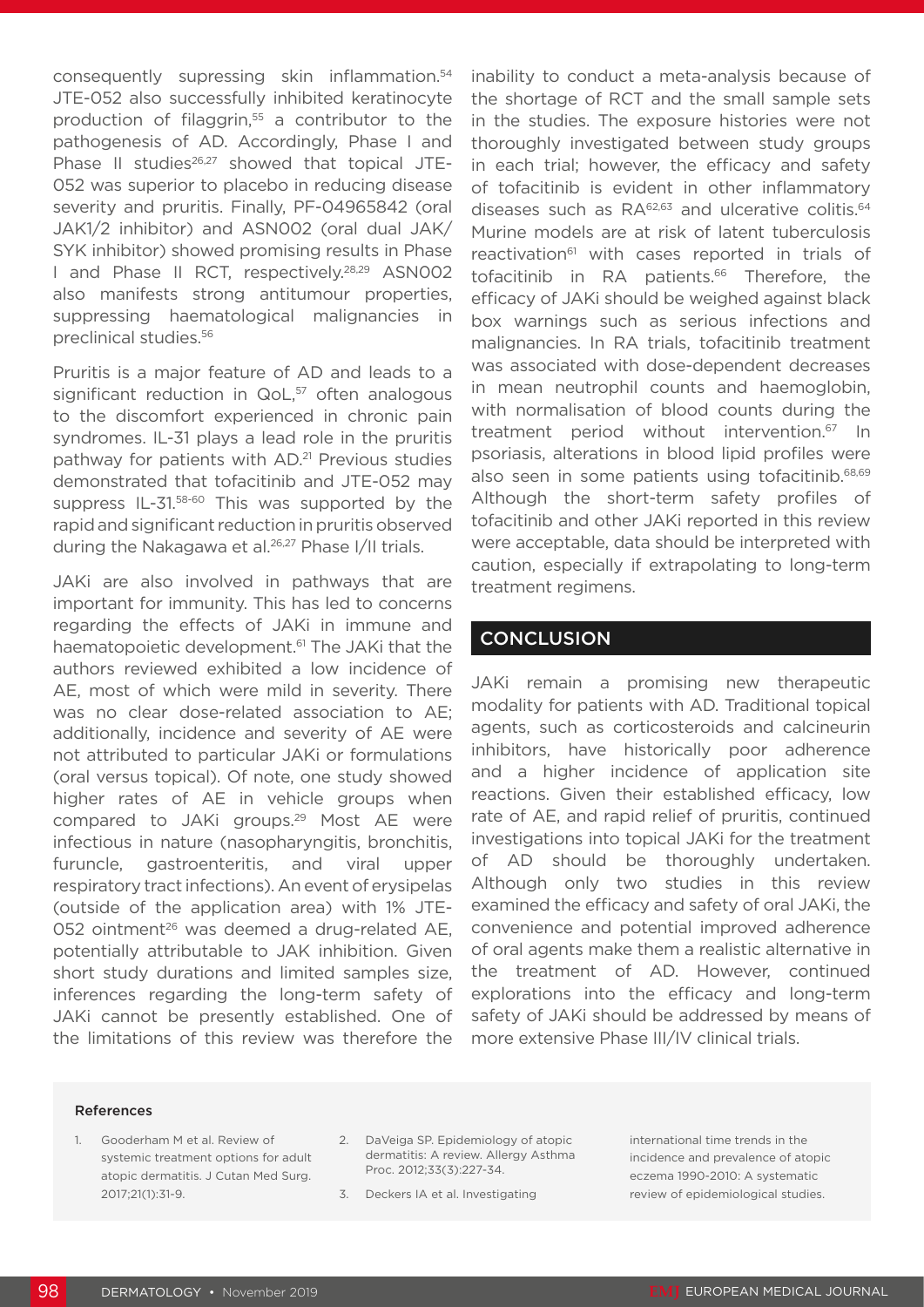consequently supressing skin inflammation.54 JTE-052 also successfully inhibited keratinocyte production of filaggrin,<sup>55</sup> a contributor to the pathogenesis of AD. Accordingly, Phase I and Phase II studies<sup>26,27</sup> showed that topical JTE-052 was superior to placebo in reducing disease severity and pruritis. Finally, PF-04965842 (oral JAK1/2 inhibitor) and ASN002 (oral dual JAK/ SYK inhibitor) showed promising results in Phase I and Phase II RCT, respectively.28,29 ASN002 also manifests strong antitumour properties, suppressing haematological malignancies in preclinical studies.56

Pruritis is a major feature of AD and leads to a significant reduction in  $QoL<sub>57</sub>$  often analogous to the discomfort experienced in chronic pain syndromes. IL-31 plays a lead role in the pruritis pathway for patients with AD.<sup>21</sup> Previous studies demonstrated that tofacitinib and JTE-052 may suppress IL-31.58-60 This was supported by the rapid and significant reduction in pruritis observed during the Nakagawa et al.<sup>26,27</sup> Phase I/II trials.

JAKi are also involved in pathways that are important for immunity. This has led to concerns regarding the effects of JAKi in immune and haematopoietic development.<sup>61</sup> The JAKi that the authors reviewed exhibited a low incidence of AE, most of which were mild in severity. There was no clear dose-related association to AE; additionally, incidence and severity of AE were not attributed to particular JAKi or formulations (oral versus topical). Of note, one study showed higher rates of AE in vehicle groups when compared to JAKi groups.29 Most AE were infectious in nature (nasopharyngitis, bronchitis, furuncle, gastroenteritis, and viral upper respiratory tract infections). An event of erysipelas (outside of the application area) with 1% JTE-052 ointment<sup>26</sup> was deemed a drug-related AE, potentially attributable to JAK inhibition. Given short study durations and limited samples size, inferences regarding the long-term safety of JAKi cannot be presently established. One of the limitations of this review was therefore the

inability to conduct a meta-analysis because of the shortage of RCT and the small sample sets in the studies. The exposure histories were not thoroughly investigated between study groups in each trial; however, the efficacy and safety of tofacitinib is evident in other inflammatory diseases such as RA<sup>62,63</sup> and ulcerative colitis.<sup>64</sup> Murine models are at risk of latent tuberculosis reactivation<sup>61</sup> with cases reported in trials of tofacitinib in RA patients.<sup>66</sup> Therefore, the efficacy of JAKi should be weighed against black box warnings such as serious infections and malignancies. In RA trials, tofacitinib treatment was associated with dose-dependent decreases in mean neutrophil counts and haemoglobin, with normalisation of blood counts during the treatment period without intervention.67 In psoriasis, alterations in blood lipid profiles were also seen in some patients using tofacitinib.<sup>68,69</sup> Although the short-term safety profiles of tofacitinib and other JAKi reported in this review were acceptable, data should be interpreted with caution, especially if extrapolating to long-term treatment regimens.

## **CONCLUSION**

JAKi remain a promising new therapeutic modality for patients with AD. Traditional topical agents, such as corticosteroids and calcineurin inhibitors, have historically poor adherence and a higher incidence of application site reactions. Given their established efficacy, low rate of AE, and rapid relief of pruritis, continued investigations into topical JAKi for the treatment of AD should be thoroughly undertaken. Although only two studies in this review examined the efficacy and safety of oral JAKi, the convenience and potential improved adherence of oral agents make them a realistic alternative in the treatment of AD. However, continued explorations into the efficacy and long-term safety of JAKi should be addressed by means of more extensive Phase III/IV clinical trials.

#### References

- 1. Gooderham M et al. Review of systemic treatment options for adult atopic dermatitis. J Cutan Med Surg. 2017;21(1):31-9.
- 2. DaVeiga SP. Epidemiology of atopic dermatitis: A review. Allergy Asthma Proc. 2012;33(3):227-34.

3. Deckers IA et al. Investigating

international time trends in the incidence and prevalence of atopic eczema 1990-2010: A systematic review of epidemiological studies.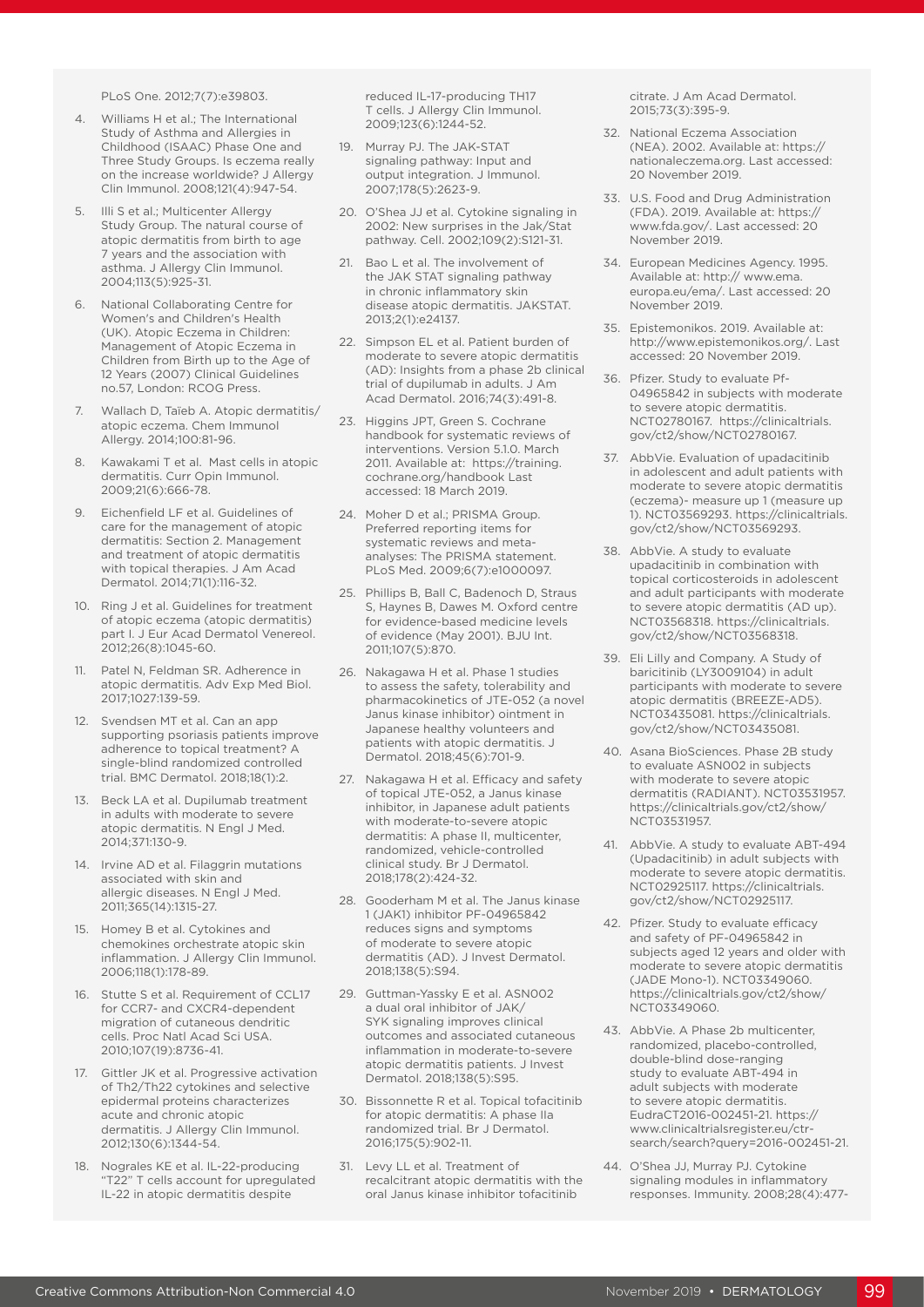PLoS One. 2012;7(7):e39803.

- 4. Williams H et al.; The International Study of Asthma and Allergies in Childhood (ISAAC) Phase One and Three Study Groups. Is eczema really on the increase worldwide? J Allergy Clin Immunol. 2008;121(4):947-54.
- 5. Illi S et al.; Multicenter Allergy Study Group. The natural course of atopic dermatitis from birth to age 7 years and the association with asthma. J Allergy Clin Immunol. 2004;113(5):925-31.
- **National Collaborating Centre for** Women's and Children's Health (UK). Atopic Eczema in Children: Management of Atopic Eczema in Children from Birth up to the Age of 12 Years (2007) Clinical Guidelines no.57, London: RCOG Press.
- 7. Wallach D, Taïeb A. Atopic dermatitis/ atopic eczema. Chem Immunol Allergy. 2014;100:81-96.
- 8. Kawakami T et al. Mast cells in atopic dermatitis. Curr Opin Immunol. 2009;21(6):666-78.
- 9. Eichenfield LF et al. Guidelines of care for the management of atopic dermatitis: Section 2. Management and treatment of atopic dermatitis with topical therapies. J Am Acad Dermatol. 2014;71(1):116-32.
- 10. Ring J et al. Guidelines for treatment of atopic eczema (atopic dermatitis) part I. J Eur Acad Dermatol Venereol. 2012;26(8):1045-60.
- 11. Patel N, Feldman SR. Adherence in atopic dermatitis. Adv Exp Med Biol. 2017;1027:139-59.
- 12. Svendsen MT et al. Can an app supporting psoriasis patients improve adherence to topical treatment? A single-blind randomized controlled trial. BMC Dermatol. 2018;18(1):2.
- 13. Beck LA et al. Dupilumab treatment in adults with moderate to severe atopic dermatitis. N Engl J Med. 2014;371:130-9.
- 14. Irvine AD et al. Filaggrin mutations associated with skin and allergic diseases. N Engl J Med. 2011;365(14):1315-27.
- 15. Homey B et al. Cytokines and chemokines orchestrate atopic skin inflammation. J Allergy Clin Immunol. 2006;118(1):178-89.
- 16. Stutte S et al. Requirement of CCL17 for CCR7- and CXCR4-dependent migration of cutaneous dendritic cells. Proc Natl Acad Sci USA. 2010;107(19):8736-41.
- 17. Gittler JK et al. Progressive activation of Th2/Th22 cytokines and selective epidermal proteins characterizes acute and chronic atopic dermatitis. J Allergy Clin Immunol. 2012;130(6):1344-54.
- 18. Nograles KE et al. IL-22-producing "T22" T cells account for upregulated IL-22 in atopic dermatitis despite

reduced IL-17-producing TH17 T cells. J Allergy Clin Immunol. 2009;123(6):1244-52.

- 19. Murray PJ. The JAK-STAT signaling pathway: Input and output integration. J Immunol. 2007;178(5):2623-9.
- 20. O'Shea JJ et al. Cytokine signaling in 2002: New surprises in the Jak/Stat pathway. Cell. 2002;109(2):S121-31.
- 21. Bao L et al. The involvement of the JAK STAT signaling pathway in chronic inflammatory skin disease atopic dermatitis. JAKSTAT. 2013;2(1):e24137.
- 22. Simpson EL et al. Patient burden of moderate to severe atopic dermatitis (AD): Insights from a phase 2b clinical trial of dupilumab in adults. J Am Acad Dermatol. 2016;74(3):491-8.
- 23. Higgins JPT, Green S. Cochrane handbook for systematic reviews of interventions. Version 5.1.0. March 2011. Available at: https://training. cochrane.org/handbook Last accessed: 18 March 2019.
- 24. Moher D et al.; PRISMA Group. Preferred reporting items for systematic reviews and metaanalyses: The PRISMA statement. PLoS Med. 2009;6(7):e1000097.
- 25. Phillips B, Ball C, Badenoch D, Straus S, Haynes B, Dawes M. Oxford centre for evidence-based medicine levels of evidence (May 2001). BJU Int. 2011;107(5):870.
- 26. Nakagawa H et al. Phase 1 studies to assess the safety, tolerability and pharmacokinetics of JTE-052 (a novel Janus kinase inhibitor) ointment in Japanese healthy volunteers and patients with atopic dermatitis. J Dermatol. 2018;45(6):701-9.
- 27. Nakagawa H et al. Efficacy and safety of topical JTE-052, a Janus kinase inhibitor, in Japanese adult patients with moderate-to-severe atopic dermatitis: A phase II, multicenter, randomized, vehicle-controlled clinical study. Br J Dermatol. 2018;178(2):424-32.
- 28. Gooderham M et al. The Janus kinase 1 (JAK1) inhibitor PF-04965842 reduces signs and symptoms of moderate to severe atopic dermatitis (AD). J Invest Dermatol. 2018;138(5):S94.
- 29. Guttman-Yassky E et al. ASN002 a dual oral inhibitor of JAK/ SYK signaling improves clinical outcomes and associated cutaneous inflammation in moderate-to-severe atopic dermatitis patients. J Invest Dermatol. 2018;138(5):S95.
- 30. Bissonnette R et al. Topical tofacitinib for atopic dermatitis: A phase IIa randomized trial. Br J Dermatol. 2016;175(5):902-11.
- 31. Levy LL et al. Treatment of recalcitrant atopic dermatitis with the oral Janus kinase inhibitor tofacitinib

citrate. J Am Acad Dermatol. 2015;73(3):395-9.

- 32. National Eczema Association (NEA). 2002. Available at: https:// nationaleczema.org. Last accessed: 20 November 2019.
- 33. U.S. Food and Drug Administration (FDA). 2019. Available at: https:// www.fda.gov/. Last accessed: 20 November 2019.
- 34. European Medicines Agency. 1995. Available at: http:// www.ema. europa.eu/ema/. Last accessed: 20 November 2019.
- 35. Epistemonikos. 2019. Available at: http://www.epistemonikos.org/. Last accessed: 20 November 2019.
- 36. Pfizer. Study to evaluate Pf-04965842 in subjects with moderate to severe atopic dermatitis. NCT02780167. https://clinicaltrials. gov/ct2/show/NCT02780167.
- 37. AbbVie. Evaluation of upadacitinib in adolescent and adult patients with moderate to severe atopic dermatitis (eczema)- measure up 1 (measure up 1). NCT03569293. https://clinicaltrials. gov/ct2/show/NCT03569293.
- 38. AbbVie. A study to evaluate upadacitinib in combination with topical corticosteroids in adolescent and adult participants with moderate to severe atopic dermatitis (AD up). NCT03568318. https://clinicaltrials. gov/ct2/show/NCT03568318.
- 39. Eli Lilly and Company. A Study of baricitinib (LY3009104) in adult participants with moderate to severe atopic dermatitis (BREEZE-AD5). NCT03435081. https://clinicaltrials. gov/ct2/show/NCT03435081.
- 40. Asana BioSciences. Phase 2B study to evaluate ASN002 in subjects with moderate to severe atopic dermatitis (RADIANT). NCT03531957. https://clinicaltrials.gov/ct2/show/ NCT03531957.
- 41. AbbVie. A study to evaluate ABT-494 (Upadacitinib) in adult subjects with moderate to severe atopic dermatitis. NCT02925117. https://clinicaltrials. gov/ct2/show/NCT02925117.
- 42. Pfizer. Study to evaluate efficacy and safety of PF-04965842 in subjects aged 12 years and older with moderate to severe atopic dermatitis (JADE Mono-1). NCT03349060. https://clinicaltrials.gov/ct2/show/ NCT03349060.
- 43. AbbVie. A Phase 2b multicenter, randomized, placebo-controlled, double-blind dose-ranging study to evaluate ABT-494 in adult subjects with moderate to severe atopic dermatitis. EudraCT2016-002451-21. https:// www.clinicaltrialsregister.eu/ctrsearch/search?query=2016-002451-21.
- 44. O'Shea JJ, Murray PJ. Cytokine signaling modules in inflammatory responses. Immunity. 2008;28(4):477-